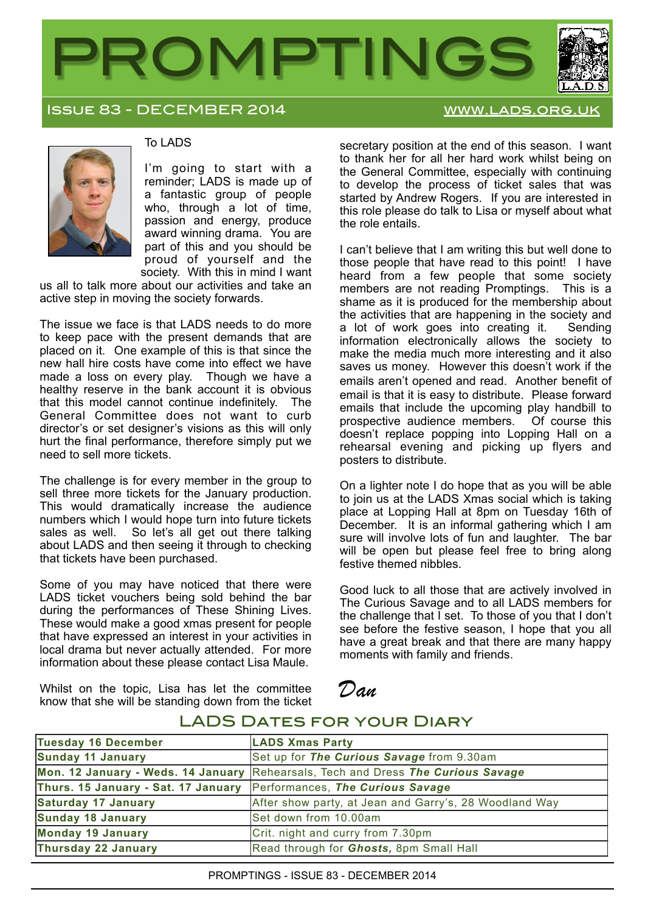

Issue 83 - DECEMBER 2014 [www.lads.org.uk](http://www.lads.org.uk)



### To LADS

I'm going to start with a reminder; LADS is made up of a fantastic group of people who, through a lot of time, passion and energy, produce award winning drama. You are part of this and you should be proud of yourself and the society. With this in mind I want

us all to talk more about our activities and take an active step in moving the society forwards.

The issue we face is that LADS needs to do more to keep pace with the present demands that are placed on it. One example of this is that since the new hall hire costs have come into effect we have made a loss on every play. Though we have a healthy reserve in the bank account it is obvious that this model cannot continue indefinitely. The General Committee does not want to curb director's or set designer's visions as this will only hurt the final performance, therefore simply put we need to sell more tickets.

The challenge is for every member in the group to sell three more tickets for the January production. This would dramatically increase the audience numbers which I would hope turn into future tickets sales as well. So let's all get out there talking about LADS and then seeing it through to checking that tickets have been purchased.

Some of you may have noticed that there were LADS ticket vouchers being sold behind the bar during the performances of These Shining Lives. These would make a good xmas present for people that have expressed an interest in your activities in local drama but never actually attended. For more information about these please contact Lisa Maule.

Whilst on the topic, Lisa has let the committee know that she will be standing down from the ticket

secretary position at the end of this season. I want to thank her for all her hard work whilst being on the General Committee, especially with continuing to develop the process of ticket sales that was started by Andrew Rogers. If you are interested in this role please do talk to Lisa or myself about what the role entails.

I can't believe that I am writing this but well done to those people that have read to this point! I have heard from a few people that some society members are not reading Promptings. This is a shame as it is produced for the membership about the activities that are happening in the society and a lot of work goes into creating it. Sending information electronically allows the society to make the media much more interesting and it also saves us money. However this doesn't work if the emails aren't opened and read. Another benefit of email is that it is easy to distribute. Please forward emails that include the upcoming play handbill to prospective audience members. Of course this doesn't replace popping into Lopping Hall on a rehearsal evening and picking up flyers and posters to distribute.

On a lighter note I do hope that as you will be able to join us at the LADS Xmas social which is taking place at Lopping Hall at 8pm on Tuesday 16th of December. It is an informal gathering which I am sure will involve lots of fun and laughter. The bar will be open but please feel free to bring along festive themed nibbles.

Good luck to all those that are actively involved in The Curious Savage and to all LADS members for the challenge that I set. To those of you that I don't see before the festive season, I hope that you all have a great break and that there are many happy moments with family and friends.

# *Dan*

| Tuesday 16 December                                                  | <b>LADS Xmas Party</b>                                                           |
|----------------------------------------------------------------------|----------------------------------------------------------------------------------|
| Sunday 11 January                                                    | Set up for The Curious Savage from 9.30am                                        |
|                                                                      | Mon. 12 January - Weds. 14 January Rehearsals, Tech and Dress The Curious Savage |
| Thurs. 15 January - Sat. 17 January Performances, The Curious Savage |                                                                                  |
| Saturday 17 January                                                  | After show party, at Jean and Garry's, 28 Woodland Way                           |
| Sunday 18 January                                                    | Set down from 10.00am                                                            |
| Monday 19 January                                                    | Crit. night and curry from 7.30pm                                                |
| Thursday 22 January                                                  | Read through for Ghosts, 8pm Small Hall                                          |

### LADS DATES FOR YOUR DIARY

PROMPTINGS - ISSUE 83 - DECEMBER 2014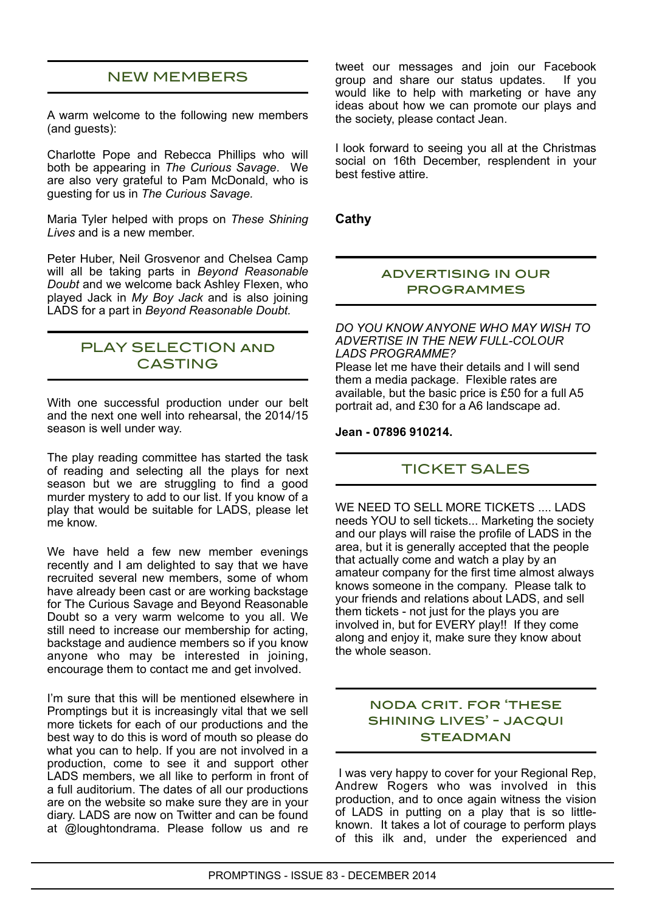# NEW MEMBERS

A warm welcome to the following new members (and guests):

Charlotte Pope and Rebecca Phillips who will both be appearing in *The Curious Savage*. We are also very grateful to Pam McDonald, who is guesting for us in *The Curious Savage.*

Maria Tyler helped with props on *These Shining Lives* and is a new member.

Peter Huber, Neil Grosvenor and Chelsea Camp will all be taking parts in *Beyond Reasonable Doubt* and we welcome back Ashley Flexen, who played Jack in *My Boy Jack* and is also joining LADS for a part in *Beyond Reasonable Doubt.*

### PLAY SELECTION and **CASTING**

With one successful production under our belt and the next one well into rehearsal, the 2014/15 season is well under way.

The play reading committee has started the task of reading and selecting all the plays for next season but we are struggling to find a good murder mystery to add to our list. If you know of a play that would be suitable for LADS, please let me know.

We have held a few new member evenings recently and I am delighted to say that we have recruited several new members, some of whom have already been cast or are working backstage for The Curious Savage and Beyond Reasonable Doubt so a very warm welcome to you all. We still need to increase our membership for acting, backstage and audience members so if you know anyone who may be interested in joining, encourage them to contact me and get involved.

I'm sure that this will be mentioned elsewhere in Promptings but it is increasingly vital that we sell more tickets for each of our productions and the best way to do this is word of mouth so please do what you can to help. If you are not involved in a production, come to see it and support other LADS members, we all like to perform in front of a full auditorium. The dates of all our productions are on the website so make sure they are in your diary. LADS are now on Twitter and can be found at @loughtondrama. Please follow us and re

tweet our messages and join our Facebook group and share our status updates. If you would like to help with marketing or have any ideas about how we can promote our plays and the society, please contact Jean.

I look forward to seeing you all at the Christmas social on 16th December, resplendent in your best festive attire.

**Cathy**

### advertising in our programmes

*DO YOU KNOW ANYONE WHO MAY WISH TO ADVERTISE IN THE NEW FULL-COLOUR LADS PROGRAMME?*

Please let me have their details and I will send them a media package. Flexible rates are available, but the basic price is £50 for a full A5 portrait ad, and £30 for a A6 landscape ad.

**Jean - 07896 910214.**

## TICKET SALES

WE NEED TO SELL MORE TICKETS .... LADS needs YOU to sell tickets... Marketing the society and our plays will raise the profile of LADS in the area, but it is generally accepted that the people that actually come and watch a play by an amateur company for the first time almost always knows someone in the company. Please talk to your friends and relations about LADS, and sell them tickets - not just for the plays you are involved in, but for EVERY play!! If they come along and enjoy it, make sure they know about the whole season.

### noda crit. for 'these shining lives' - jacqui **STEADMAN**

 I was very happy to cover for your Regional Rep, Andrew Rogers who was involved in this production, and to once again witness the vision of LADS in putting on a play that is so littleknown. It takes a lot of courage to perform plays of this ilk and, under the experienced and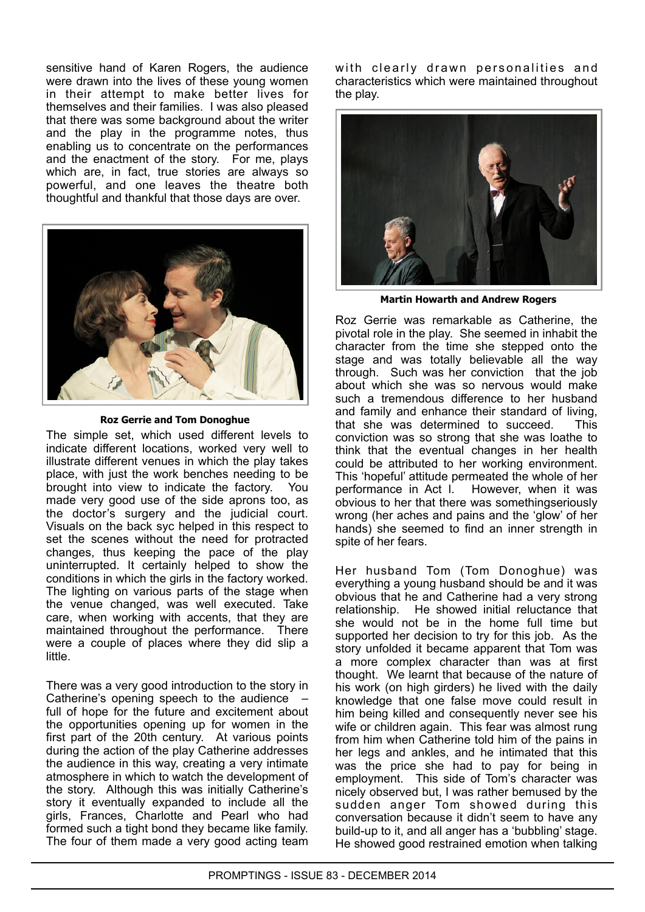sensitive hand of Karen Rogers, the audience were drawn into the lives of these young women in their attempt to make better lives for themselves and their families. I was also pleased that there was some background about the writer and the play in the programme notes, thus enabling us to concentrate on the performances and the enactment of the story. For me, plays which are, in fact, true stories are always so powerful, and one leaves the theatre both thoughtful and thankful that those days are over.



#### **Roz Gerrie and Tom Donoghue**

The simple set, which used different levels to indicate different locations, worked very well to illustrate different venues in which the play takes place, with just the work benches needing to be brought into view to indicate the factory. You made very good use of the side aprons too, as the doctor's surgery and the judicial court. Visuals on the back syc helped in this respect to set the scenes without the need for protracted changes, thus keeping the pace of the play uninterrupted. It certainly helped to show the conditions in which the girls in the factory worked. The lighting on various parts of the stage when the venue changed, was well executed. Take care, when working with accents, that they are maintained throughout the performance. There were a couple of places where they did slip a little.

There was a very good introduction to the story in Catherine's opening speech to the audience – full of hope for the future and excitement about the opportunities opening up for women in the first part of the 20th century. At various points during the action of the play Catherine addresses the audience in this way, creating a very intimate atmosphere in which to watch the development of the story. Although this was initially Catherine's story it eventually expanded to include all the girls, Frances, Charlotte and Pearl who had formed such a tight bond they became like family. The four of them made a very good acting team

with clearly drawn personalities and characteristics which were maintained throughout the play.



**Martin Howarth and Andrew Rogers**

Roz Gerrie was remarkable as Catherine, the pivotal role in the play. She seemed in inhabit the character from the time she stepped onto the stage and was totally believable all the way through. Such was her conviction that the job about which she was so nervous would make such a tremendous difference to her husband and family and enhance their standard of living, that she was determined to succeed. This conviction was so strong that she was loathe to think that the eventual changes in her health could be attributed to her working environment. This 'hopeful' attitude permeated the whole of her performance in Act l. However, when it was obvious to her that there was somethingseriously wrong (her aches and pains and the 'glow' of her hands) she seemed to find an inner strength in spite of her fears.

Her husband Tom (Tom Donoghue) was everything a young husband should be and it was obvious that he and Catherine had a very strong relationship. He showed initial reluctance that she would not be in the home full time but supported her decision to try for this job. As the story unfolded it became apparent that Tom was a more complex character than was at first thought. We learnt that because of the nature of his work (on high girders) he lived with the daily knowledge that one false move could result in him being killed and consequently never see his wife or children again. This fear was almost rung from him when Catherine told him of the pains in her legs and ankles, and he intimated that this was the price she had to pay for being in employment. This side of Tom's character was nicely observed but, I was rather bemused by the sudden anger Tom showed during this conversation because it didn't seem to have any build-up to it, and all anger has a 'bubbling' stage. He showed good restrained emotion when talking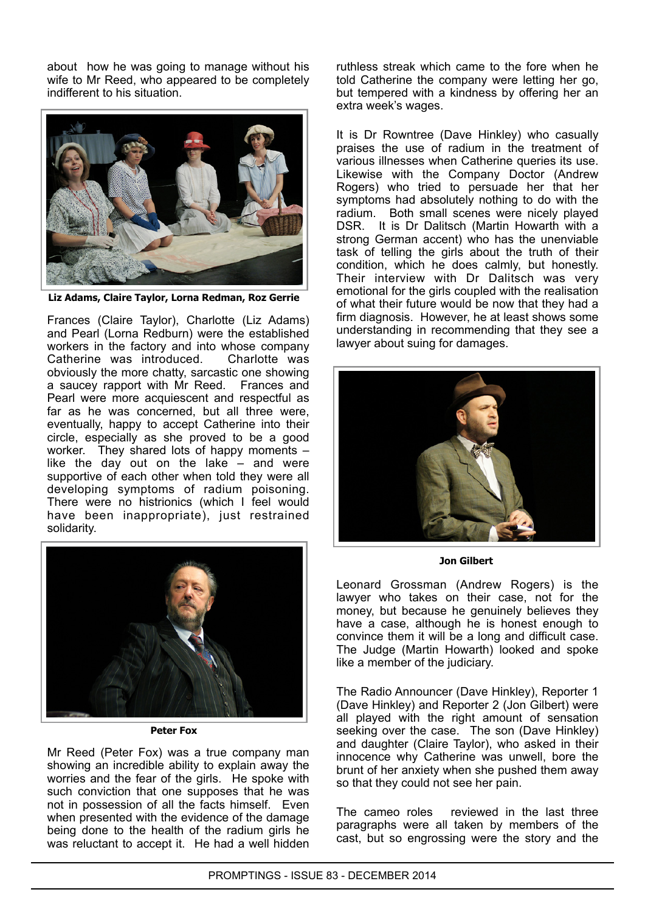about how he was going to manage without his wife to Mr Reed, who appeared to be completely indifferent to his situation.



**Liz Adams, Claire Taylor, Lorna Redman, Roz Gerrie**

Frances (Claire Taylor), Charlotte (Liz Adams) and Pearl (Lorna Redburn) were the established workers in the factory and into whose company Catherine was introduced. Charlotte was obviously the more chatty, sarcastic one showing a saucey rapport with Mr Reed. Frances and Pearl were more acquiescent and respectful as far as he was concerned, but all three were, eventually, happy to accept Catherine into their circle, especially as she proved to be a good worker. They shared lots of happy moments – like the day out on the lake – and were supportive of each other when told they were all developing symptoms of radium poisoning. There were no histrionics (which I feel would have been inappropriate), just restrained solidarity.



**Peter Fox**

Mr Reed (Peter Fox) was a true company man showing an incredible ability to explain away the worries and the fear of the girls. He spoke with such conviction that one supposes that he was not in possession of all the facts himself. Even when presented with the evidence of the damage being done to the health of the radium girls he was reluctant to accept it. He had a well hidden

ruthless streak which came to the fore when he told Catherine the company were letting her go, but tempered with a kindness by offering her an extra week's wages.

It is Dr Rowntree (Dave Hinkley) who casually praises the use of radium in the treatment of various illnesses when Catherine queries its use. Likewise with the Company Doctor (Andrew Rogers) who tried to persuade her that her symptoms had absolutely nothing to do with the radium. Both small scenes were nicely played DSR. It is Dr Dalitsch (Martin Howarth with a strong German accent) who has the unenviable task of telling the girls about the truth of their condition, which he does calmly, but honestly. Their interview with Dr Dalitsch was very emotional for the girls coupled with the realisation of what their future would be now that they had a firm diagnosis. However, he at least shows some understanding in recommending that they see a lawyer about suing for damages.



**Jon Gilbert**

Leonard Grossman (Andrew Rogers) is the lawyer who takes on their case, not for the money, but because he genuinely believes they have a case, although he is honest enough to convince them it will be a long and difficult case. The Judge (Martin Howarth) looked and spoke like a member of the judiciary.

The Radio Announcer (Dave Hinkley), Reporter 1 (Dave Hinkley) and Reporter 2 (Jon Gilbert) were all played with the right amount of sensation seeking over the case. The son (Dave Hinkley) and daughter (Claire Taylor), who asked in their innocence why Catherine was unwell, bore the brunt of her anxiety when she pushed them away so that they could not see her pain.

The cameo roles reviewed in the last three paragraphs were all taken by members of the cast, but so engrossing were the story and the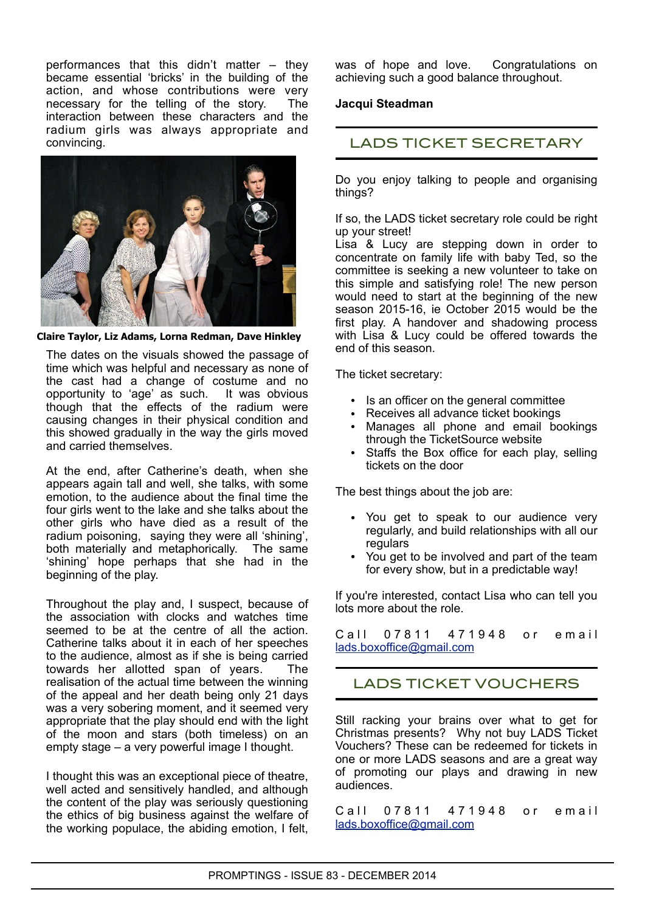performances that this didn't matter – they became essential 'bricks' in the building of the action, and whose contributions were very necessary for the telling of the story. The interaction between these characters and the radium girls was always appropriate and convincing.



**Claire Taylor, Liz Adams, Lorna Redman, Dave Hinkley**

The dates on the visuals showed the passage of time which was helpful and necessary as none of the cast had a change of costume and no opportunity to 'age' as such. It was obvious though that the effects of the radium were causing changes in their physical condition and this showed gradually in the way the girls moved and carried themselves.

At the end, after Catherine's death, when she appears again tall and well, she talks, with some emotion, to the audience about the final time the four girls went to the lake and she talks about the other girls who have died as a result of the radium poisoning, saying they were all 'shining', both materially and metaphorically. The same 'shining' hope perhaps that she had in the beginning of the play.

Throughout the play and, I suspect, because of the association with clocks and watches time seemed to be at the centre of all the action. Catherine talks about it in each of her speeches to the audience, almost as if she is being carried towards her allotted span of years. The realisation of the actual time between the winning of the appeal and her death being only 21 days was a very sobering moment, and it seemed very appropriate that the play should end with the light of the moon and stars (both timeless) on an empty stage – a very powerful image I thought.

I thought this was an exceptional piece of theatre, well acted and sensitively handled, and although the content of the play was seriously questioning the ethics of big business against the welfare of the working populace, the abiding emotion, I felt, was of hope and love. Congratulations on achieving such a good balance throughout.

### **Jacqui Steadman**

## LADS TICKET SECRETARY

Do you enjoy talking to people and organising things?

If so, the LADS ticket secretary role could be right up your street!

Lisa & Lucy are stepping down in order to concentrate on family life with baby Ted, so the committee is seeking a new volunteer to take on this simple and satisfying role! The new person would need to start at the beginning of the new season 2015-16, ie October 2015 would be the first play. A handover and shadowing process with Lisa & Lucy could be offered towards the end of this season.

The ticket secretary:

- Is an officer on the general committee
- Receives all advance ticket bookings
- Manages all phone and email bookings through the TicketSource website
- Staffs the Box office for each play, selling tickets on the door

The best things about the job are:

- You get to speak to our audience very regularly, and build relationships with all our regulars
- You get to be involved and part of the team for every show, but in a predictable way!

If you're interested, contact Lisa who can tell you lots more about the role.

C all 0 7 8 11 4 7 1 9 4 8 or email [lads.boxoffice@gmail.com](mailto:lads.boxoffice@gmail.com)

## LADS TICKET VOUCHERS

Still racking your brains over what to get for Christmas presents? Why not buy LADS Ticket Vouchers? These can be redeemed for tickets in one or more LADS seasons and are a great way of promoting our plays and drawing in new audiences.

C all 0 7 8 11 4 7 1 9 4 8 or email [lads.boxoffice@gmail.com](mailto:lads.boxoffice@gmail.com)